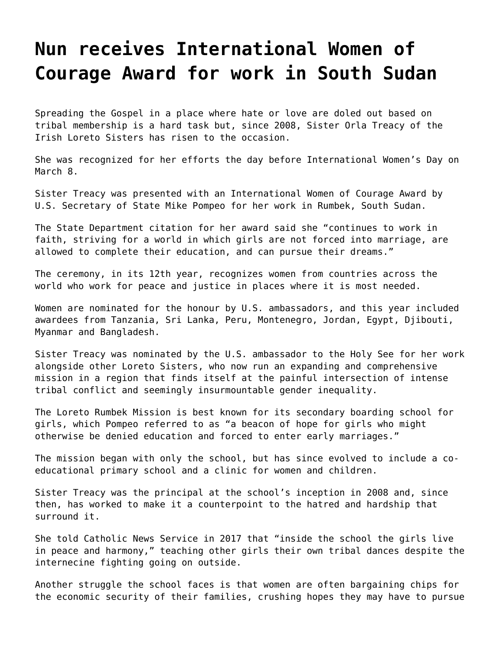## **[Nun receives International Women of](https://grandinmedia.ca/nun-receives-international-women-courage-award-work-south-sudan/) [Courage Award for work in South Sudan](https://grandinmedia.ca/nun-receives-international-women-courage-award-work-south-sudan/)**

Spreading the Gospel in a place where hate or love are doled out based on tribal membership is a hard task but, since 2008, Sister Orla Treacy of the Irish Loreto Sisters has risen to the occasion.

She was recognized for her efforts the day before International Women's Day on March 8.

Sister Treacy was presented with an International Women of Courage Award by U.S. Secretary of State Mike Pompeo for her work in Rumbek, South Sudan.

The State Department citation for her award said she "continues to work in faith, striving for a world in which girls are not forced into marriage, are allowed to complete their education, and can pursue their dreams."

The ceremony, in its 12th year, recognizes women from countries across the world who work for peace and justice in places where it is most needed.

Women are nominated for the honour by U.S. ambassadors, and this year included awardees from Tanzania, Sri Lanka, Peru, Montenegro, Jordan, Egypt, Djibouti, Myanmar and Bangladesh.

Sister Treacy was nominated by the U.S. ambassador to the Holy See for her work alongside other Loreto Sisters, who now run an expanding and comprehensive mission in a region that finds itself at the painful intersection of intense tribal conflict and seemingly insurmountable gender inequality.

The Loreto Rumbek Mission is best known for its secondary boarding school for girls, which Pompeo referred to as "a beacon of hope for girls who might otherwise be denied education and forced to enter early marriages."

The mission began with only the school, but has since evolved to include a coeducational primary school and a clinic for women and children.

Sister Treacy was the principal at the school's inception in 2008 and, since then, has worked to make it a counterpoint to the hatred and hardship that surround it.

She told Catholic News Service in 2017 that "inside the school the girls live in peace and harmony," teaching other girls their own tribal dances despite the internecine fighting going on outside.

Another struggle the school faces is that women are often bargaining chips for the economic security of their families, crushing hopes they may have to pursue